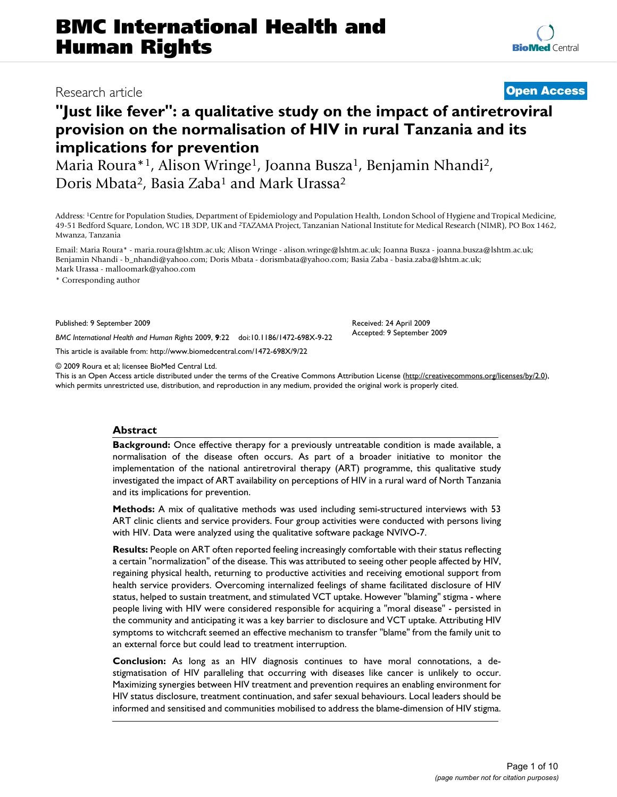# **[BioMed](http://www.biomedcentral.com/)** Central

### Research article **[Open Access](http://www.biomedcentral.com/info/about/charter/)**

## **"Just like fever": a qualitative study on the impact of antiretroviral provision on the normalisation of HIV in rural Tanzania and its implications for prevention**

Maria Roura<sup>\*1</sup>, Alison Wringe<sup>1</sup>, Joanna Busza<sup>1</sup>, Benjamin Nhandi<sup>2</sup>, Doris Mbata<sup>2</sup>, Basia Zaba<sup>1</sup> and Mark Urassa<sup>2</sup>

Address: 1Centre for Population Studies, Department of Epidemiology and Population Health, London School of Hygiene and Tropical Medicine, 49-51 Bedford Square, London, WC 1B 3DP, UK and 2TAZAMA Project, Tanzanian National Institute for Medical Research (NIMR), PO Box 1462, Mwanza, Tanzania

Email: Maria Roura\* - maria.roura@lshtm.ac.uk; Alison Wringe - alison.wringe@lshtm.ac.uk; Joanna Busza - joanna.busza@lshtm.ac.uk; Benjamin Nhandi - b\_nhandi@yahoo.com; Doris Mbata - dorismbata@yahoo.com; Basia Zaba - basia.zaba@lshtm.ac.uk; Mark Urassa - malloomark@yahoo.com

\* Corresponding author

Published: 9 September 2009

*BMC International Health and Human Rights* 2009, **9**:22 doi:10.1186/1472-698X-9-22

[This article is available from: http://www.biomedcentral.com/1472-698X/9/22](http://www.biomedcentral.com/1472-698X/9/22)

© 2009 Roura et al; licensee BioMed Central Ltd.

This is an Open Access article distributed under the terms of the Creative Commons Attribution License [\(http://creativecommons.org/licenses/by/2.0\)](http://creativecommons.org/licenses/by/2.0), which permits unrestricted use, distribution, and reproduction in any medium, provided the original work is properly cited.

Received: 24 April 2009 Accepted: 9 September 2009

#### **Abstract**

**Background:** Once effective therapy for a previously untreatable condition is made available, a normalisation of the disease often occurs. As part of a broader initiative to monitor the implementation of the national antiretroviral therapy (ART) programme, this qualitative study investigated the impact of ART availability on perceptions of HIV in a rural ward of North Tanzania and its implications for prevention.

**Methods:** A mix of qualitative methods was used including semi-structured interviews with 53 ART clinic clients and service providers. Four group activities were conducted with persons living with HIV. Data were analyzed using the qualitative software package NVIVO-7.

**Results:** People on ART often reported feeling increasingly comfortable with their status reflecting a certain "normalization" of the disease. This was attributed to seeing other people affected by HIV, regaining physical health, returning to productive activities and receiving emotional support from health service providers. Overcoming internalized feelings of shame facilitated disclosure of HIV status, helped to sustain treatment, and stimulated VCT uptake. However "blaming" stigma - where people living with HIV were considered responsible for acquiring a "moral disease" - persisted in the community and anticipating it was a key barrier to disclosure and VCT uptake. Attributing HIV symptoms to witchcraft seemed an effective mechanism to transfer "blame" from the family unit to an external force but could lead to treatment interruption.

**Conclusion:** As long as an HIV diagnosis continues to have moral connotations, a destigmatisation of HIV paralleling that occurring with diseases like cancer is unlikely to occur. Maximizing synergies between HIV treatment and prevention requires an enabling environment for HIV status disclosure, treatment continuation, and safer sexual behaviours. Local leaders should be informed and sensitised and communities mobilised to address the blame-dimension of HIV stigma.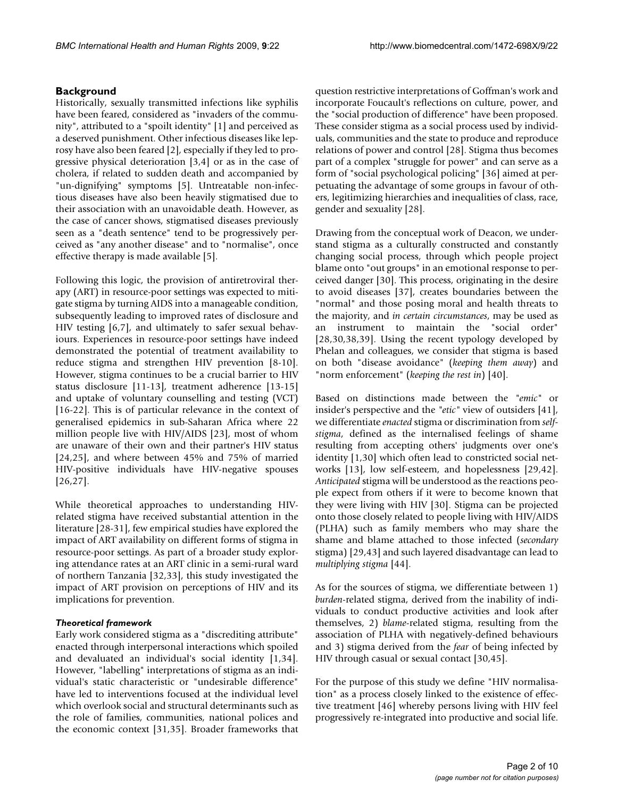#### **Background**

Historically, sexually transmitted infections like syphilis have been feared, considered as "invaders of the community", attributed to a "spoilt identity" [[1](#page-7-0)] and perceived as a deserved punishment. Other infectious diseases like leprosy have also been feared [[2](#page-7-1)], especially if they led to progressive physical deterioration [[3](#page-7-2)[,4\]](#page-7-3) or as in the case of cholera, if related to sudden death and accompanied by "un-dignifying" symptoms [[5](#page-7-4)]. Untreatable non-infectious diseases have also been heavily stigmatised due to their association with an unavoidable death. However, as the case of cancer shows, stigmatised diseases previously seen as a "death sentence" tend to be progressively perceived as "any another disease" and to "normalise", once effective therapy is made available [[5](#page-7-4)].

Following this logic, the provision of antiretroviral therapy (ART) in resource-poor settings was expected to mitigate stigma by turning AIDS into a manageable condition, subsequently leading to improved rates of disclosure and HIV testing [\[6,](#page-7-5)[7\]](#page-7-6), and ultimately to safer sexual behaviours. Experiences in resource-poor settings have indeed demonstrated the potential of treatment availability to reduce stigma and strengthen HIV prevention [[8](#page-7-7)[-10](#page-7-8)]. However, stigma continues to be a crucial barrier to HIV status disclosure [[11-](#page-7-9)[13\]](#page-7-10), treatment adherence [[13-](#page-7-10)[15\]](#page-8-0) and uptake of voluntary counselling and testing (VCT) [[16](#page-8-1)[-22](#page-8-2)]. This is of particular relevance in the context of generalised epidemics in sub-Saharan Africa where 22 million people live with HIV/AIDS [\[23\]](#page-8-3), most of whom are unaware of their own and their partner's HIV status [[24](#page-8-4),[25\]](#page-8-5), and where between 45% and 75% of married HIV-positive individuals have HIV-negative spouses [[26](#page-8-6),[27\]](#page-8-7).

While theoretical approaches to understanding HIVrelated stigma have received substantial attention in the literature [[28-](#page-8-8)[31\]](#page-8-9), few empirical studies have explored the impact of ART availability on different forms of stigma in resource-poor settings. As part of a broader study exploring attendance rates at an ART clinic in a semi-rural ward of northern Tanzania [\[32](#page-8-10)[,33](#page-8-11)], this study investigated the impact of ART provision on perceptions of HIV and its implications for prevention.

#### *Theoretical framework*

Early work considered stigma as a "discrediting attribute" enacted through interpersonal interactions which spoiled and devaluated an individual's social identity [\[1](#page-7-0)[,34](#page-8-12)]. However, "labelling" interpretations of stigma as an individual's static characteristic or "undesirable difference" have led to interventions focused at the individual level which overlook social and structural determinants such as the role of families, communities, national polices and the economic context [\[31](#page-8-9),[35\]](#page-8-13). Broader frameworks that

question restrictive interpretations of Goffman's work and incorporate Foucault's reflections on culture, power, and the "social production of difference" have been proposed. These consider stigma as a social process used by individuals, communities and the state to produce and reproduce relations of power and control [\[28](#page-8-8)]. Stigma thus becomes part of a complex "struggle for power" and can serve as a form of "social psychological policing" [\[36\]](#page-8-14) aimed at perpetuating the advantage of some groups in favour of others, legitimizing hierarchies and inequalities of class, race, gender and sexuality [\[28](#page-8-8)].

Drawing from the conceptual work of Deacon, we understand stigma as a culturally constructed and constantly changing social process, through which people project blame onto "out groups" in an emotional response to perceived danger [[30\]](#page-8-15). This process, originating in the desire to avoid diseases [\[37](#page-8-16)], creates boundaries between the "normal" and those posing moral and health threats to the majority, and *in certain circumstances*, may be used as an instrument to maintain the "social order" [[28](#page-8-8),[30,](#page-8-15)[38](#page-8-17),[39](#page-8-18)]. Using the recent typology developed by Phelan and colleagues, we consider that stigma is based on both "disease avoidance" (*keeping them away*) and "norm enforcement" (*keeping the rest in*) [[40\]](#page-8-19).

Based on distinctions made between the *"emic"* or insider's perspective and the *"etic"* view of outsiders [\[41](#page-8-20)], we differentiate *enacted* stigma or discrimination from *selfstigma*, defined as the internalised feelings of shame resulting from accepting others' judgments over one's identity [[1](#page-7-0),[30\]](#page-8-15) which often lead to constricted social networks [\[13\]](#page-7-10), low self-esteem, and hopelessness [[29,](#page-8-21)[42](#page-8-22)]. *Anticipated* stigma will be understood as the reactions people expect from others if it were to become known that they were living with HIV [[30\]](#page-8-15). Stigma can be projected onto those closely related to people living with HIV/AIDS (PLHA) such as family members who may share the shame and blame attached to those infected (*secondary* stigma) [\[29](#page-8-21),[43\]](#page-8-23) and such layered disadvantage can lead to *multiplying stigma* [\[44](#page-8-24)].

As for the sources of stigma, we differentiate between 1) *burden*-related stigma, derived from the inability of individuals to conduct productive activities and look after themselves, 2) *blame*-related stigma, resulting from the association of PLHA with negatively-defined behaviours and 3) stigma derived from the *fear* of being infected by HIV through casual or sexual contact [[30,](#page-8-15)[45\]](#page-8-25).

For the purpose of this study we define "HIV normalisation" as a process closely linked to the existence of effective treatment [[46](#page-8-26)] whereby persons living with HIV feel progressively re-integrated into productive and social life.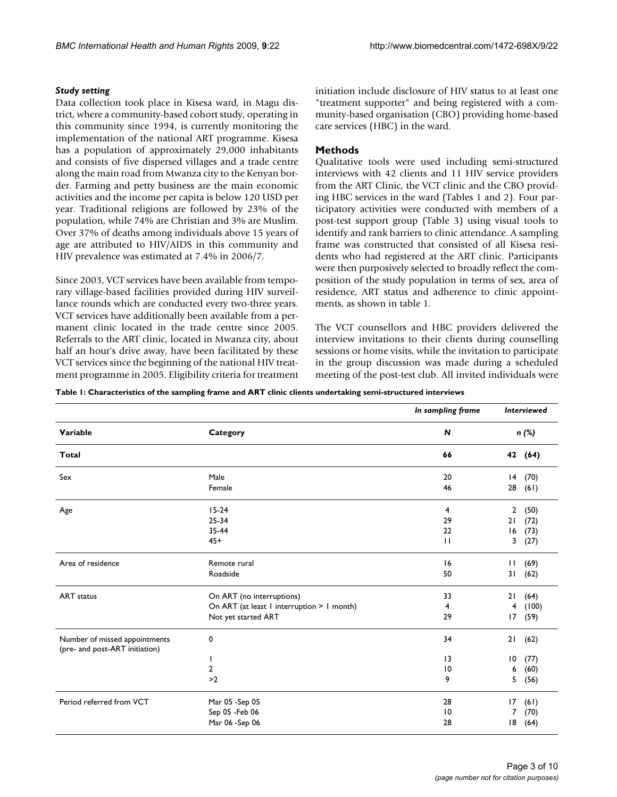#### *Study setting*

Data collection took place in Kisesa ward, in Magu district, where a community-based cohort study, operating in this community since 1994, is currently monitoring the implementation of the national ART programme. Kisesa has a population of approximately 29,000 inhabitants and consists of five dispersed villages and a trade centre along the main road from Mwanza city to the Kenyan border. Farming and petty business are the main economic activities and the income per capita is below 120 USD per year. Traditional religions are followed by 23% of the population, while 74% are Christian and 3% are Muslim. Over 37% of deaths among individuals above 15 years of age are attributed to HIV/AIDS in this community and HIV prevalence was estimated at 7.4% in 2006/7.

Since 2003, VCT services have been available from temporary village-based facilities provided during HIV surveillance rounds which are conducted every two-three years. VCT services have additionally been available from a permanent clinic located in the trade centre since 2005. Referrals to the ART clinic, located in Mwanza city, about half an hour's drive away, have been facilitated by these VCT services since the beginning of the national HIV treatment programme in 2005. Eligibility criteria for treatment initiation include disclosure of HIV status to at least one "treatment supporter" and being registered with a community-based organisation (CBO) providing home-based care services (HBC) in the ward.

#### **Methods**

Qualitative tools were used including semi-structured interviews with 42 clients and 11 HIV service providers from the ART Clinic, the VCT clinic and the CBO providing HBC services in the ward (Tables [1](#page-2-0) and [2](#page-3-0)). Four participatory activities were conducted with members of a post-test support group (Table [3\)](#page-3-1) using visual tools to identify and rank barriers to clinic attendance. A sampling frame was constructed that consisted of all Kisesa residents who had registered at the ART clinic. Participants were then purposively selected to broadly reflect the composition of the study population in terms of sex, area of residence, ART status and adherence to clinic appointments, as shown in table [1](#page-2-0).

The VCT counsellors and HBC providers delivered the interview invitations to their clients during counselling sessions or home visits, while the invitation to participate in the group discussion was made during a scheduled meeting of the post-test club. All invited individuals were

<span id="page-2-0"></span>**Table 1: Characteristics of the sampling frame and ART clinic clients undertaking semi-structured interviews**

|                                                                 |                                            | In sampling frame |                 | Interviewed |
|-----------------------------------------------------------------|--------------------------------------------|-------------------|-----------------|-------------|
| Variable                                                        | Category                                   | N                 | n (%)           |             |
| Total                                                           |                                            | 66                |                 | 42 (64)     |
| Sex                                                             | Male                                       | 20                | 4               | (70)        |
|                                                                 | Female                                     | 46                | 28              | (61)        |
| Age                                                             | $15 - 24$                                  | 4                 | $\overline{2}$  | (50)        |
|                                                                 | 25-34                                      | 29                | 21              | (72)        |
|                                                                 | $35-44$                                    | 22                | 16              | (73)        |
|                                                                 | $45+$                                      | $\mathbf{H}$      | 3               | (27)        |
| Area of residence                                               | Remote rural                               | 16                | $\mathbf{H}$    | (69)        |
|                                                                 | Roadside                                   | 50                | 31              | (62)        |
| <b>ART</b> status                                               | On ART (no interruptions)                  | 33                | 21              | (64)        |
|                                                                 | On ART (at least 1 interruption > 1 month) | 4                 | 4               | (100)       |
|                                                                 | Not yet started ART                        | 29                | 17              | (59)        |
| Number of missed appointments<br>(pre- and post-ART initiation) | 0                                          | 34                | 21              | (62)        |
|                                                                 | ı                                          | 13                | $\overline{10}$ | (77)        |
|                                                                 | $\overline{2}$                             | $\overline{10}$   | 6               | (60)        |
|                                                                 | >2                                         | 9                 | 5               | (56)        |
| Period referred from VCT                                        | Mar 05 -Sep 05                             | 28                | 17              | (61)        |
|                                                                 | Sep 05 - Feb 06                            | $\overline{10}$   | 7               | (70)        |
|                                                                 | Mar 06 -Sep 06                             | 28                | 18              | (64)        |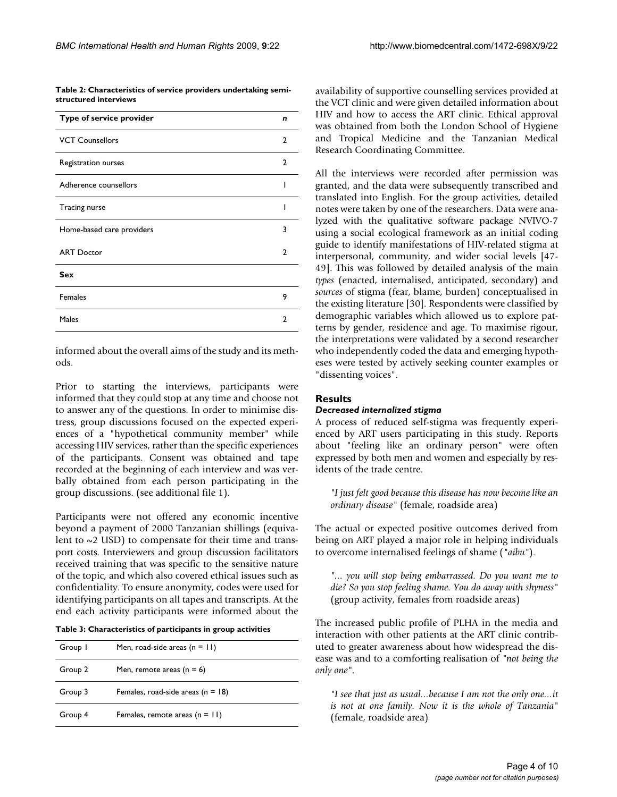<span id="page-3-0"></span>

| Table 2: Characteristics of service providers undertaking semi- |  |
|-----------------------------------------------------------------|--|
| structured interviews                                           |  |

| Type of service provider  | n             |
|---------------------------|---------------|
| <b>VCT Counsellors</b>    | 2             |
| Registration nurses       | $\mathfrak z$ |
| Adherence counsellors     | ı             |
| Tracing nurse             | ı             |
| Home-based care providers | 3             |
| <b>ART Doctor</b>         | 2             |
| <b>Sex</b>                |               |
| Females                   | 9             |
| Males                     | 2             |

informed about the overall aims of the study and its methods.

Prior to starting the interviews, participants were informed that they could stop at any time and choose not to answer any of the questions. In order to minimise distress, group discussions focused on the expected experiences of a "hypothetical community member" while accessing HIV services, rather than the specific experiences of the participants. Consent was obtained and tape recorded at the beginning of each interview and was verbally obtained from each person participating in the group discussions. (see additional file [1\)](#page-7-11).

Participants were not offered any economic incentive beyond a payment of 2000 Tanzanian shillings (equivalent to  $\sim$ 2 USD) to compensate for their time and transport costs. Interviewers and group discussion facilitators received training that was specific to the sensitive nature of the topic, and which also covered ethical issues such as confidentiality. To ensure anonymity, codes were used for identifying participants on all tapes and transcripts. At the end each activity participants were informed about the

<span id="page-3-1"></span>

| Table 3: Characteristics of participants in group activities |  |  |  |  |  |
|--------------------------------------------------------------|--|--|--|--|--|
|--------------------------------------------------------------|--|--|--|--|--|

| Group I | Men, road-side areas $(n = 11)$     |
|---------|-------------------------------------|
| Group 2 | Men, remote areas $(n = 6)$         |
| Group 3 | Females, road-side areas $(n = 18)$ |
| Group 4 | Females, remote areas $(n = 11)$    |

availability of supportive counselling services provided at the VCT clinic and were given detailed information about HIV and how to access the ART clinic. Ethical approval was obtained from both the London School of Hygiene and Tropical Medicine and the Tanzanian Medical Research Coordinating Committee.

All the interviews were recorded after permission was granted, and the data were subsequently transcribed and translated into English. For the group activities, detailed notes were taken by one of the researchers. Data were analyzed with the qualitative software package NVIVO-7 using a social ecological framework as an initial coding guide to identify manifestations of HIV-related stigma at interpersonal, community, and wider social levels [\[47](#page-8-27)- [49\]](#page-8-28). This was followed by detailed analysis of the main *types* (enacted, internalised, anticipated, secondary) and *sources* of stigma (fear, blame, burden) conceptualised in the existing literature [[30](#page-8-15)]. Respondents were classified by demographic variables which allowed us to explore patterns by gender, residence and age. To maximise rigour, the interpretations were validated by a second researcher who independently coded the data and emerging hypotheses were tested by actively seeking counter examples or "dissenting voices".

#### **Results**

#### *Decreased internalized stigma*

A process of reduced self-stigma was frequently experienced by ART users participating in this study. Reports about "feeling like an ordinary person" were often expressed by both men and women and especially by residents of the trade centre.

*"I just felt good because this disease has now become like an ordinary disease"* (female, roadside area)

The actual or expected positive outcomes derived from being on ART played a major role in helping individuals to overcome internalised feelings of shame (*"aibu"*).

*"... you will stop being embarrassed. Do you want me to die? So you stop feeling shame. You do away with shyness"* (group activity, females from roadside areas)

The increased public profile of PLHA in the media and interaction with other patients at the ART clinic contributed to greater awareness about how widespread the disease was and to a comforting realisation of *"not being the only one"*.

*"I see that just as usual...because I am not the only one...it is not at one family. Now it is the whole of Tanzania"* (female, roadside area)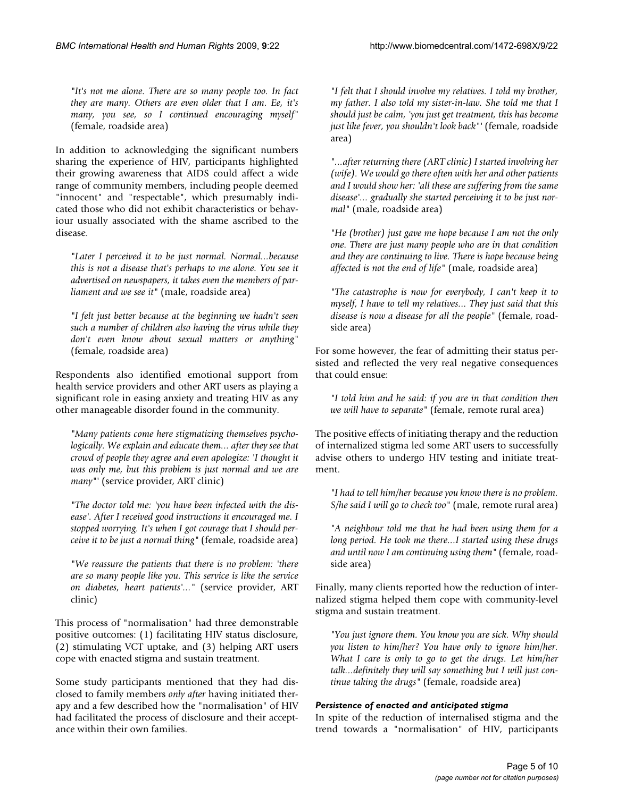*"It's not me alone. There are so many people too. In fact they are many. Others are even older that I am. Ee, it's many, you see, so I continued encouraging myself"* (female, roadside area)

In addition to acknowledging the significant numbers sharing the experience of HIV, participants highlighted their growing awareness that AIDS could affect a wide range of community members, including people deemed "innocent" and "respectable", which presumably indicated those who did not exhibit characteristics or behaviour usually associated with the shame ascribed to the disease.

*"Later I perceived it to be just normal. Normal...because this is not a disease that's perhaps to me alone. You see it advertised on newspapers, it takes even the members of parliament and we see it"* (male, roadside area)

*"I felt just better because at the beginning we hadn't seen such a number of children also having the virus while they don't even know about sexual matters or anything"* (female, roadside area)

Respondents also identified emotional support from health service providers and other ART users as playing a significant role in easing anxiety and treating HIV as any other manageable disorder found in the community.

*"Many patients come here stigmatizing themselves psychologically. We explain and educate them... after they see that crowd of people they agree and even apologize: 'I thought it was only me, but this problem is just normal and we are* many"' (service provider, ART clinic)

*"The doctor told me: 'you have been infected with the disease'. After I received good instructions it encouraged me. I stopped worrying. It's when I got courage that I should perceive it to be just a normal thing"* (female, roadside area)

*"We reassure the patients that there is no problem: 'there are so many people like you. This service is like the service on diabetes, heart patients'..."* (service provider, ART clinic)

This process of "normalisation" had three demonstrable positive outcomes: (1) facilitating HIV status disclosure, (2) stimulating VCT uptake, and (3) helping ART users cope with enacted stigma and sustain treatment.

Some study participants mentioned that they had disclosed to family members *only after* having initiated therapy and a few described how the "normalisation" of HIV had facilitated the process of disclosure and their acceptance within their own families.

*"I felt that I should involve my relatives. I told my brother, my father. I also told my sister-in-law. She told me that I should just be calm, 'you just get treatment, this has become just like fever, you shouldn't look back"'* (female, roadside area)

*"...after returning there (ART clinic) I started involving her (wife). We would go there often with her and other patients and I would show her: 'all these are suffering from the same disease'... gradually she started perceiving it to be just normal"* (male, roadside area)

*"He (brother) just gave me hope because I am not the only one. There are just many people who are in that condition and they are continuing to live. There is hope because being affected is not the end of life"* (male, roadside area)

*"The catastrophe is now for everybody, I can't keep it to myself, I have to tell my relatives... They just said that this disease is now a disease for all the people"* (female, roadside area)

For some however, the fear of admitting their status persisted and reflected the very real negative consequences that could ensue:

*"I told him and he said: if you are in that condition then we will have to separate"* (female, remote rural area)

The positive effects of initiating therapy and the reduction of internalized stigma led some ART users to successfully advise others to undergo HIV testing and initiate treatment.

*"I had to tell him/her because you know there is no problem. S/he said I will go to check too"* (male, remote rural area)

*"A neighbour told me that he had been using them for a long period. He took me there...I started using these drugs and until now I am continuing using them"* (female, roadside area)

Finally, many clients reported how the reduction of internalized stigma helped them cope with community-level stigma and sustain treatment.

*"You just ignore them. You know you are sick. Why should you listen to him/her? You have only to ignore him/her. What I care is only to go to get the drugs. Let him/her talk...definitely they will say something but I will just continue taking the drugs"* (female, roadside area)

#### *Persistence of enacted and anticipated stigma*

In spite of the reduction of internalised stigma and the trend towards a "normalisation" of HIV, participants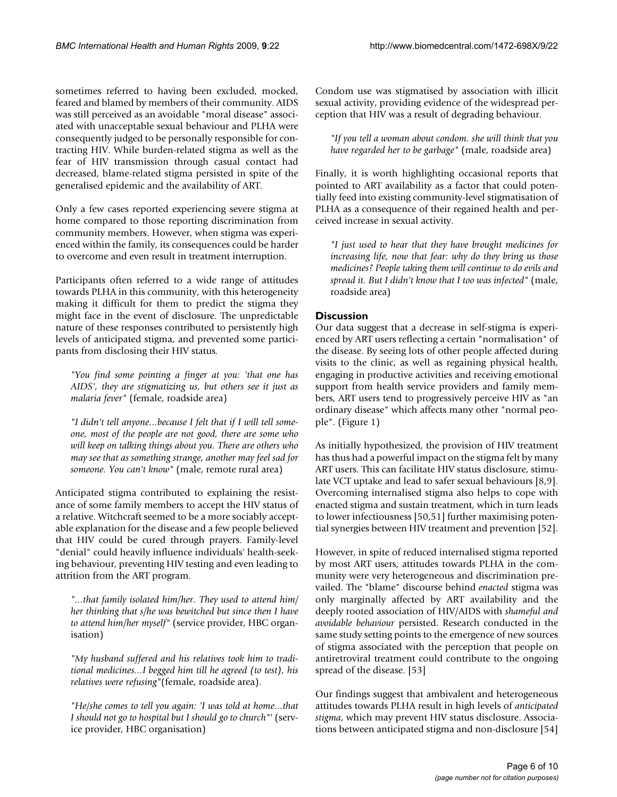sometimes referred to having been excluded, mocked, feared and blamed by members of their community. AIDS was still perceived as an avoidable "moral disease" associated with unacceptable sexual behaviour and PLHA were consequently judged to be personally responsible for contracting HIV. While burden-related stigma as well as the fear of HIV transmission through casual contact had decreased, blame-related stigma persisted in spite of the generalised epidemic and the availability of ART.

Only a few cases reported experiencing severe stigma at home compared to those reporting discrimination from community members. However, when stigma was experienced within the family, its consequences could be harder to overcome and even result in treatment interruption.

Participants often referred to a wide range of attitudes towards PLHA in this community, with this heterogeneity making it difficult for them to predict the stigma they might face in the event of disclosure. The unpredictable nature of these responses contributed to persistently high levels of anticipated stigma, and prevented some participants from disclosing their HIV status.

*"You find some pointing a finger at you: 'that one has AIDS', they are stigmatizing us, but others see it just as malaria fever"* (female, roadside area)

*"I didn't tell anyone...because I felt that if I will tell someone, most of the people are not good, there are some who will keep on talking things about you. There are others who may see that as something strange, another may feel sad for someone. You can't know"* (male, remote rural area)

Anticipated stigma contributed to explaining the resistance of some family members to accept the HIV status of a relative. Witchcraft seemed to be a more sociably acceptable explanation for the disease and a few people believed that HIV could be cured through prayers. Family-level "denial" could heavily influence individuals' health-seeking behaviour, preventing HIV testing and even leading to attrition from the ART program.

*"...that family isolated him/her. They used to attend him/ her thinking that s/he was bewitched but since then I have to attend him/her myself"* (service provider, HBC organisation)

*"My husband suffered and his relatives took him to traditional medicines...I begged him till he agreed (to test), his relatives were refusing"*(female, roadside area).

*"He/she comes to tell you again: 'I was told at home...that I should not go to hospital but I should go to church"'* (service provider, HBC organisation)

Condom use was stigmatised by association with illicit sexual activity, providing evidence of the widespread perception that HIV was a result of degrading behaviour.

*"If you tell a woman about condom. she will think that you have regarded her to be garbage"* (male, roadside area)

Finally, it is worth highlighting occasional reports that pointed to ART availability as a factor that could potentially feed into existing community-level stigmatisation of PLHA as a consequence of their regained health and perceived increase in sexual activity.

*"I just used to hear that they have brought medicines for increasing life, now that fear: why do they bring us those medicines? People taking them will continue to do evils and spread it. But I didn't know that I too was infected"* (male, roadside area)

#### **Discussion**

Our data suggest that a decrease in self-stigma is experienced by ART users reflecting a certain "normalisation" of the disease. By seeing lots of other people affected during visits to the clinic, as well as regaining physical health, engaging in productive activities and receiving emotional support from health service providers and family members, ART users tend to progressively perceive HIV as "an ordinary disease" which affects many other "normal people". (Figure [1](#page-6-0))

As initially hypothesized, the provision of HIV treatment has thus had a powerful impact on the stigma felt by many ART users. This can facilitate HIV status disclosure, stimulate VCT uptake and lead to safer sexual behaviours [[8](#page-7-7),[9](#page-7-12)]. Overcoming internalised stigma also helps to cope with enacted stigma and sustain treatment, which in turn leads to lower infectiousness [\[50](#page-8-29),[51](#page-8-30)] further maximising potential synergies between HIV treatment and prevention [\[52](#page-8-31)].

However, in spite of reduced internalised stigma reported by most ART users, attitudes towards PLHA in the community were very heterogeneous and discrimination prevailed. The "blame" discourse behind *enacted* stigma was only marginally affected by ART availability and the deeply rooted association of HIV/AIDS with *shameful and avoidable behaviour* persisted. Research conducted in the same study setting points to the emergence of new sources of stigma associated with the perception that people on antiretroviral treatment could contribute to the ongoing spread of the disease. [\[53](#page-8-32)]

Our findings suggest that ambivalent and heterogeneous attitudes towards PLHA result in high levels of *anticipated stigma*, which may prevent HIV status disclosure. Associations between anticipated stigma and non-disclosure [[54\]](#page-8-33)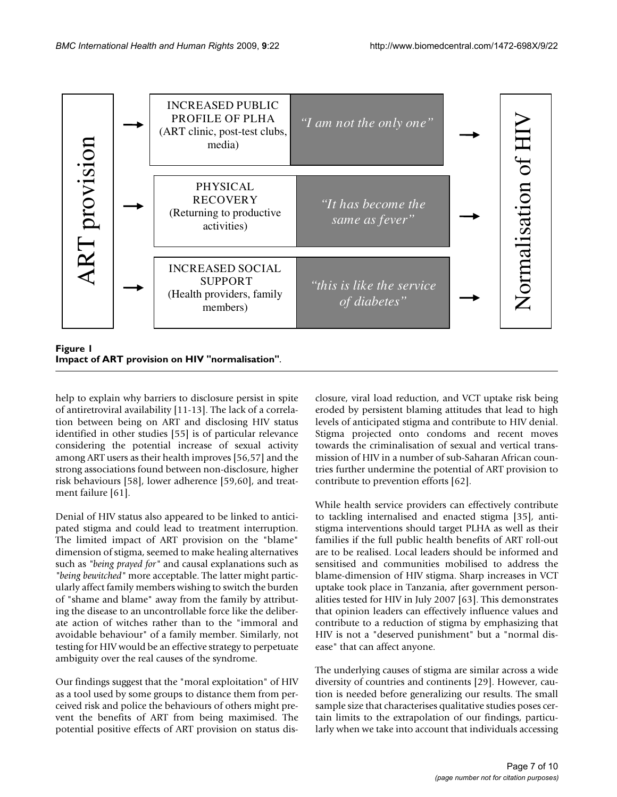<span id="page-6-0"></span>

**Impact of ART provision on HIV "normalisation"**.

help to explain why barriers to disclosure persist in spite of antiretroviral availability [[11-](#page-7-9)[13\]](#page-7-10). The lack of a correlation between being on ART and disclosing HIV status identified in other studies [\[55](#page-8-34)] is of particular relevance considering the potential increase of sexual activity among ART users as their health improves [[56](#page-8-35)[,57](#page-8-36)] and the strong associations found between non-disclosure, higher risk behaviours [\[58](#page-9-0)], lower adherence [\[59](#page-9-1)[,60](#page-9-2)], and treatment failure [[61](#page-9-3)].

Denial of HIV status also appeared to be linked to anticipated stigma and could lead to treatment interruption. The limited impact of ART provision on the "blame" dimension of stigma, seemed to make healing alternatives such as *"being prayed for"* and causal explanations such as *"being bewitched"* more acceptable. The latter might particularly affect family members wishing to switch the burden of "shame and blame" away from the family by attributing the disease to an uncontrollable force like the deliberate action of witches rather than to the "immoral and avoidable behaviour" of a family member. Similarly, not testing for HIV would be an effective strategy to perpetuate ambiguity over the real causes of the syndrome.

Our findings suggest that the "moral exploitation" of HIV as a tool used by some groups to distance them from perceived risk and police the behaviours of others might prevent the benefits of ART from being maximised. The potential positive effects of ART provision on status disclosure, viral load reduction, and VCT uptake risk being eroded by persistent blaming attitudes that lead to high levels of anticipated stigma and contribute to HIV denial. Stigma projected onto condoms and recent moves towards the criminalisation of sexual and vertical transmission of HIV in a number of sub-Saharan African countries further undermine the potential of ART provision to contribute to prevention efforts [\[62](#page-9-4)].

While health service providers can effectively contribute to tackling internalised and enacted stigma [[35\]](#page-8-13), antistigma interventions should target PLHA as well as their families if the full public health benefits of ART roll-out are to be realised. Local leaders should be informed and sensitised and communities mobilised to address the blame-dimension of HIV stigma. Sharp increases in VCT uptake took place in Tanzania, after government personalities tested for HIV in July 2007 [\[63](#page-9-5)]. This demonstrates that opinion leaders can effectively influence values and contribute to a reduction of stigma by emphasizing that HIV is not a "deserved punishment" but a "normal disease" that can affect anyone.

The underlying causes of stigma are similar across a wide diversity of countries and continents [[29\]](#page-8-21). However, caution is needed before generalizing our results. The small sample size that characterises qualitative studies poses certain limits to the extrapolation of our findings, particularly when we take into account that individuals accessing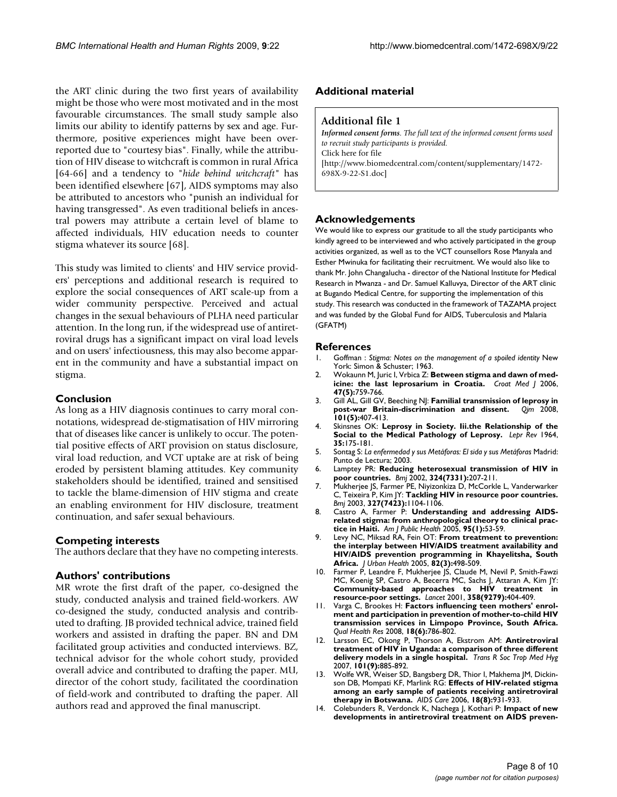the ART clinic during the two first years of availability might be those who were most motivated and in the most favourable circumstances. The small study sample also limits our ability to identify patterns by sex and age. Furthermore, positive experiences might have been overreported due to "courtesy bias". Finally, while the attribution of HIV disease to witchcraft is common in rural Africa [[64](#page-9-6)[-66](#page-9-7)] and a tendency to "*hide behind witchcraft"* has been identified elsewhere [\[67](#page-9-8)], AIDS symptoms may also be attributed to ancestors who "punish an individual for having transgressed". As even traditional beliefs in ancestral powers may attribute a certain level of blame to affected individuals, HIV education needs to counter stigma whatever its source [\[68\]](#page-9-9).

This study was limited to clients' and HIV service providers' perceptions and additional research is required to explore the social consequences of ART scale-up from a wider community perspective. Perceived and actual changes in the sexual behaviours of PLHA need particular attention. In the long run, if the widespread use of antiretroviral drugs has a significant impact on viral load levels and on users' infectiousness, this may also become apparent in the community and have a substantial impact on stigma.

#### **Conclusion**

As long as a HIV diagnosis continues to carry moral connotations, widespread de-stigmatisation of HIV mirroring that of diseases like cancer is unlikely to occur. The potential positive effects of ART provision on status disclosure, viral load reduction, and VCT uptake are at risk of being eroded by persistent blaming attitudes. Key community stakeholders should be identified, trained and sensitised to tackle the blame-dimension of HIV stigma and create an enabling environment for HIV disclosure, treatment continuation, and safer sexual behaviours.

#### **Competing interests**

The authors declare that they have no competing interests.

#### **Authors' contributions**

MR wrote the first draft of the paper, co-designed the study, conducted analysis and trained field-workers. AW co-designed the study, conducted analysis and contributed to drafting. JB provided technical advice, trained field workers and assisted in drafting the paper. BN and DM facilitated group activities and conducted interviews. BZ, technical advisor for the whole cohort study, provided overall advice and contributed to drafting the paper. MU, director of the cohort study, facilitated the coordination of field-work and contributed to drafting the paper. All authors read and approved the final manuscript.

#### **Additional material**

#### <span id="page-7-11"></span>**Additional file 1**

*Informed consent forms. The full text of the informed consent forms used to recruit study participants is provided.* Click here for file [\[http://www.biomedcentral.com/content/supplementary/1472-](http://www.biomedcentral.com/content/supplementary/1472-698X-9-22-S1.doc) 698X-9-22-S1.doc]

#### **Acknowledgements**

We would like to express our gratitude to all the study participants who kindly agreed to be interviewed and who actively participated in the group activities organized, as well as to the VCT counsellors Rose Manyala and Esther Mwinuka for facilitating their recruitment. We would also like to thank Mr. John Changalucha - director of the National Institute for Medical Research in Mwanza - and Dr. Samuel Kalluvya, Director of the ART clinic at Bugando Medical Centre, for supporting the implementation of this study. This research was conducted in the framework of TAZAMA project and was funded by the Global Fund for AIDS, Tuberculosis and Malaria (GFATM)

#### **References**

- <span id="page-7-0"></span>1. Goffman : *Stigma: Notes on the management of a spoiled identity* New York: Simon & Schuster; 1963.
- <span id="page-7-1"></span>2. Wokaunn M, Juric I, Vrbica Z: **[Between stigma and dawn of med](http://www.ncbi.nlm.nih.gov/entrez/query.fcgi?cmd=Retrieve&db=PubMed&dopt=Abstract&list_uids=17042068)[icine: the last leprosarium in Croatia.](http://www.ncbi.nlm.nih.gov/entrez/query.fcgi?cmd=Retrieve&db=PubMed&dopt=Abstract&list_uids=17042068)** *Croat Med J* 2006, **47(5):**759-766.
- <span id="page-7-2"></span>3. Gill AL, Gill GV, Beeching NJ: **[Familial transmission of leprosy in](http://www.ncbi.nlm.nih.gov/entrez/query.fcgi?cmd=Retrieve&db=PubMed&dopt=Abstract&list_uids=18375476) [post-war Britain-discrimination and dissent.](http://www.ncbi.nlm.nih.gov/entrez/query.fcgi?cmd=Retrieve&db=PubMed&dopt=Abstract&list_uids=18375476)** *Qjm* 2008, **101(5):**407-413.
- <span id="page-7-3"></span>4. Skinsnes OK: **[Leprosy in Society. Iii.the Relationship of the](http://www.ncbi.nlm.nih.gov/entrez/query.fcgi?cmd=Retrieve&db=PubMed&dopt=Abstract&list_uids=14177693) [Social to the Medical Pathology of Leprosy.](http://www.ncbi.nlm.nih.gov/entrez/query.fcgi?cmd=Retrieve&db=PubMed&dopt=Abstract&list_uids=14177693)** *Lepr Rev* 1964, **35:**175-181.
- <span id="page-7-4"></span>5. Sontag S: *La enfermedad y sus Metáforas: El sida y sus Metáforas* Madrid: Punto de Lectura; 2003.
- <span id="page-7-5"></span>6. Lamptey PR: **[Reducing heterosexual transmission of HIV in](http://www.ncbi.nlm.nih.gov/entrez/query.fcgi?cmd=Retrieve&db=PubMed&dopt=Abstract&list_uids=11809643) [poor countries.](http://www.ncbi.nlm.nih.gov/entrez/query.fcgi?cmd=Retrieve&db=PubMed&dopt=Abstract&list_uids=11809643)** *Bmj* 2002, **324(7331):**207-211.
- <span id="page-7-6"></span>7. Mukherjee JS, Farmer PE, Niyizonkiza D, McCorkle L, Vanderwarker C, Teixeira P, Kim JY: **[Tackling HIV in resource poor countries.](http://www.ncbi.nlm.nih.gov/entrez/query.fcgi?cmd=Retrieve&db=PubMed&dopt=Abstract&list_uids=14604937)** *Bmj* 2003, **327(7423):**1104-1106.
- <span id="page-7-7"></span>8. Castro A, Farmer P: **[Understanding and addressing AIDS](http://www.ncbi.nlm.nih.gov/entrez/query.fcgi?cmd=Retrieve&db=PubMed&dopt=Abstract&list_uids=15623859)[related stigma: from anthropological theory to clinical prac](http://www.ncbi.nlm.nih.gov/entrez/query.fcgi?cmd=Retrieve&db=PubMed&dopt=Abstract&list_uids=15623859)[tice in Haiti.](http://www.ncbi.nlm.nih.gov/entrez/query.fcgi?cmd=Retrieve&db=PubMed&dopt=Abstract&list_uids=15623859)** *Am J Public Health* 2005, **95(1):**53-59.
- <span id="page-7-12"></span>9. Levy NC, Miksad RA, Fein OT: **[From treatment to prevention:](http://www.ncbi.nlm.nih.gov/entrez/query.fcgi?cmd=Retrieve&db=PubMed&dopt=Abstract&list_uids=16049203) [the interplay between HIV/AIDS treatment availability and](http://www.ncbi.nlm.nih.gov/entrez/query.fcgi?cmd=Retrieve&db=PubMed&dopt=Abstract&list_uids=16049203) HIV/AIDS prevention programming in Khayelitsha, South [Africa.](http://www.ncbi.nlm.nih.gov/entrez/query.fcgi?cmd=Retrieve&db=PubMed&dopt=Abstract&list_uids=16049203)** *J Urban Health* 2005, **82(3):**498-509.
- <span id="page-7-8"></span>10. Farmer P, Leandre F, Mukherjee JS, Claude M, Nevil P, Smith-Fawzi MC, Koenig SP, Castro A, Becerra MC, Sachs J, Attaran A, Kim JY: **[Community-based approaches to HIV treatment in](http://www.ncbi.nlm.nih.gov/entrez/query.fcgi?cmd=Retrieve&db=PubMed&dopt=Abstract&list_uids=11502340) [resource-poor settings.](http://www.ncbi.nlm.nih.gov/entrez/query.fcgi?cmd=Retrieve&db=PubMed&dopt=Abstract&list_uids=11502340)** *Lancet* 2001, **358(9279):**404-409.
- <span id="page-7-9"></span>11. Varga C, Brookes H: **[Factors influencing teen mothers' enrol](http://www.ncbi.nlm.nih.gov/entrez/query.fcgi?cmd=Retrieve&db=PubMed&dopt=Abstract&list_uids=18503020)[ment and participation in prevention of mother-to-child HIV](http://www.ncbi.nlm.nih.gov/entrez/query.fcgi?cmd=Retrieve&db=PubMed&dopt=Abstract&list_uids=18503020) transmission services in Limpopo Province, South Africa.** *Qual Health Res* 2008, **18(6):**786-802.
- 12. Larsson EC, Okong P, Thorson A, Ekstrom AM: **[Antiretroviral](http://www.ncbi.nlm.nih.gov/entrez/query.fcgi?cmd=Retrieve&db=PubMed&dopt=Abstract&list_uids=17604069) [treatment of HIV in Uganda: a comparison of three different](http://www.ncbi.nlm.nih.gov/entrez/query.fcgi?cmd=Retrieve&db=PubMed&dopt=Abstract&list_uids=17604069) [delivery models in a single hospital.](http://www.ncbi.nlm.nih.gov/entrez/query.fcgi?cmd=Retrieve&db=PubMed&dopt=Abstract&list_uids=17604069)** *Trans R Soc Trop Med Hyg* 2007, **101(9):**885-892.
- <span id="page-7-10"></span>13. Wolfe WR, Weiser SD, Bangsberg DR, Thior I, Makhema JM, Dickinson DB, Mompati KF, Marlink RG: **[Effects of HIV-related stigma](http://www.ncbi.nlm.nih.gov/entrez/query.fcgi?cmd=Retrieve&db=PubMed&dopt=Abstract&list_uids=17012082) [among an early sample of patients receiving antiretroviral](http://www.ncbi.nlm.nih.gov/entrez/query.fcgi?cmd=Retrieve&db=PubMed&dopt=Abstract&list_uids=17012082) [therapy in Botswana.](http://www.ncbi.nlm.nih.gov/entrez/query.fcgi?cmd=Retrieve&db=PubMed&dopt=Abstract&list_uids=17012082)** *AIDS Care* 2006, **18(8):**931-933.
- 14. Colebunders R, Verdonck K, Nachega J, Kothari P: **[Impact of new](http://www.ncbi.nlm.nih.gov/entrez/query.fcgi?cmd=Retrieve&db=PubMed&dopt=Abstract&list_uids=10833812) [developments in antiretroviral treatment on AIDS preven](http://www.ncbi.nlm.nih.gov/entrez/query.fcgi?cmd=Retrieve&db=PubMed&dopt=Abstract&list_uids=10833812)-**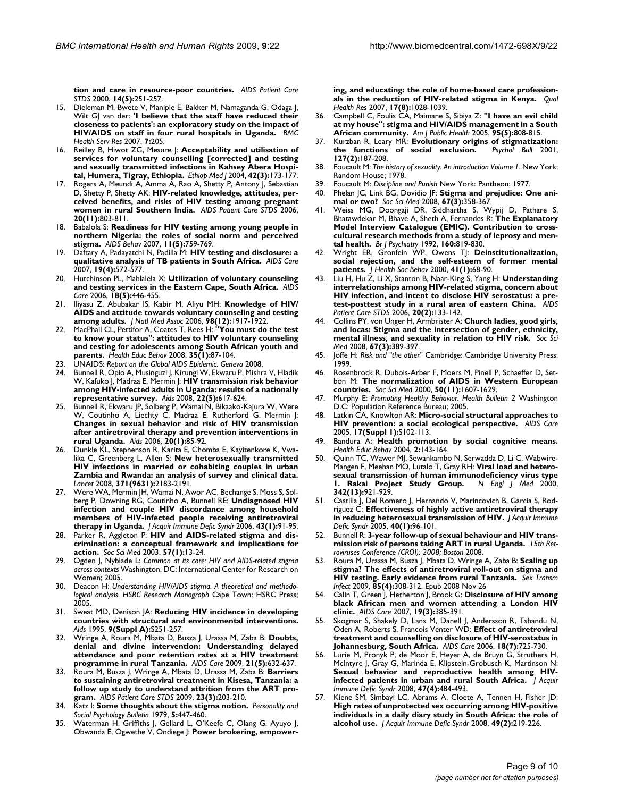**[tion and care in resource-poor countries.](http://www.ncbi.nlm.nih.gov/entrez/query.fcgi?cmd=Retrieve&db=PubMed&dopt=Abstract&list_uids=10833812)** *AIDS Patient Care STDS* 2000, **14(5):**251-257.

- <span id="page-8-0"></span>15. Dieleman M, Bwete V, Maniple E, Bakker M, Namaganda G, Odaga J, Wilt GJ van der: **['I believe that the staff have reduced their](http://www.ncbi.nlm.nih.gov/entrez/query.fcgi?cmd=Retrieve&db=PubMed&dopt=Abstract&list_uids=18088407) [closeness to patients': an exploratory study on the impact of](http://www.ncbi.nlm.nih.gov/entrez/query.fcgi?cmd=Retrieve&db=PubMed&dopt=Abstract&list_uids=18088407) [HIV/AIDS on staff in four rural hospitals in Uganda.](http://www.ncbi.nlm.nih.gov/entrez/query.fcgi?cmd=Retrieve&db=PubMed&dopt=Abstract&list_uids=18088407)** *BMC Health Serv Res* 2007, **7:**205.
- <span id="page-8-1"></span>16. Reilley B, Hiwot ZG, Mesure J: **[Acceptability and utilisation of](http://www.ncbi.nlm.nih.gov/entrez/query.fcgi?cmd=Retrieve&db=PubMed&dopt=Abstract&list_uids=16895034) [services for voluntary counselling \[corrected\] and testing](http://www.ncbi.nlm.nih.gov/entrez/query.fcgi?cmd=Retrieve&db=PubMed&dopt=Abstract&list_uids=16895034) and sexually transmitted infections in Kahsey Abera Hospi[tal, Humera, Tigray, Ethiopia.](http://www.ncbi.nlm.nih.gov/entrez/query.fcgi?cmd=Retrieve&db=PubMed&dopt=Abstract&list_uids=16895034)** *Ethiop Med J* 2004, **42(3):**173-177.
- 17. Rogers A, Meundi A, Amma A, Rao A, Shetty P, Antony J, Sebastian D, Shetty P, Shetty AK: **[HIV-related knowledge, attitudes, per](http://www.ncbi.nlm.nih.gov/entrez/query.fcgi?cmd=Retrieve&db=PubMed&dopt=Abstract&list_uids=17134354)[ceived benefits, and risks of HIV testing among pregnant](http://www.ncbi.nlm.nih.gov/entrez/query.fcgi?cmd=Retrieve&db=PubMed&dopt=Abstract&list_uids=17134354) [women in rural Southern India.](http://www.ncbi.nlm.nih.gov/entrez/query.fcgi?cmd=Retrieve&db=PubMed&dopt=Abstract&list_uids=17134354)** *AIDS Patient Care STDS* 2006, **20(11):**803-811.
- 18. Babalola S: **[Readiness for HIV testing among young people in](http://www.ncbi.nlm.nih.gov/entrez/query.fcgi?cmd=Retrieve&db=PubMed&dopt=Abstract&list_uids=17191141) [northern Nigeria: the roles of social norm and perceived](http://www.ncbi.nlm.nih.gov/entrez/query.fcgi?cmd=Retrieve&db=PubMed&dopt=Abstract&list_uids=17191141) [stigma.](http://www.ncbi.nlm.nih.gov/entrez/query.fcgi?cmd=Retrieve&db=PubMed&dopt=Abstract&list_uids=17191141)** *AIDS Behav* 2007, **11(5):**759-769.
- 19. Daftary A, Padayatchi N, Padilla M: **[HIV testing and disclosure: a](http://www.ncbi.nlm.nih.gov/entrez/query.fcgi?cmd=Retrieve&db=PubMed&dopt=Abstract&list_uids=17453600) [qualitative analysis of TB patients in South Africa.](http://www.ncbi.nlm.nih.gov/entrez/query.fcgi?cmd=Retrieve&db=PubMed&dopt=Abstract&list_uids=17453600)** *AIDS Care* 2007, **19(4):**572-577.
- 20. Hutchinson PL, Mahlalela X: **[Utilization of voluntary counseling](http://www.ncbi.nlm.nih.gov/entrez/query.fcgi?cmd=Retrieve&db=PubMed&dopt=Abstract&list_uids=16777636) [and testing services in the Eastern Cape, South Africa.](http://www.ncbi.nlm.nih.gov/entrez/query.fcgi?cmd=Retrieve&db=PubMed&dopt=Abstract&list_uids=16777636)** *AIDS Care* 2006, **18(5):**446-455.
- 21. Iliyasu Z, Abubakar IS, Kabir M, Aliyu MH: **[Knowledge of HIV/](http://www.ncbi.nlm.nih.gov/entrez/query.fcgi?cmd=Retrieve&db=PubMed&dopt=Abstract&list_uids=17225834) [AIDS and attitude towards voluntary counseling and testing](http://www.ncbi.nlm.nih.gov/entrez/query.fcgi?cmd=Retrieve&db=PubMed&dopt=Abstract&list_uids=17225834) [among adults.](http://www.ncbi.nlm.nih.gov/entrez/query.fcgi?cmd=Retrieve&db=PubMed&dopt=Abstract&list_uids=17225834)** *J Natl Med Assoc* 2006, **98(12):**1917-1922.
- <span id="page-8-2"></span>22. MacPhail CL, Pettifor A, Coates T, Rees H: **["You must do the test](http://www.ncbi.nlm.nih.gov/entrez/query.fcgi?cmd=Retrieve&db=PubMed&dopt=Abstract&list_uids=16870815) [to know your status": attitudes to HIV voluntary counseling](http://www.ncbi.nlm.nih.gov/entrez/query.fcgi?cmd=Retrieve&db=PubMed&dopt=Abstract&list_uids=16870815) and testing for adolescents among South African youth and [parents.](http://www.ncbi.nlm.nih.gov/entrez/query.fcgi?cmd=Retrieve&db=PubMed&dopt=Abstract&list_uids=16870815)** *Health Educ Behav* 2008, **35(1):**87-104.
- <span id="page-8-3"></span>23. UNAIDS: *Report on the Global AIDS Epidemic. Geneva* 2008.
- <span id="page-8-4"></span>24. Bunnell R, Opio A, Musinguzi J, Kirungi W, Ekwaru P, Mishra V, Hladik W, Kafuko J, Madraa E, Mermin J: **[HIV transmission risk behavior](http://www.ncbi.nlm.nih.gov/entrez/query.fcgi?cmd=Retrieve&db=PubMed&dopt=Abstract&list_uids=18317003) [among HIV-infected adults in Uganda: results of a nationally](http://www.ncbi.nlm.nih.gov/entrez/query.fcgi?cmd=Retrieve&db=PubMed&dopt=Abstract&list_uids=18317003) [representative survey.](http://www.ncbi.nlm.nih.gov/entrez/query.fcgi?cmd=Retrieve&db=PubMed&dopt=Abstract&list_uids=18317003)** *Aids* 2008, **22(5):**617-624.
- <span id="page-8-5"></span>25. Bunnell R, Ekwaru JP, Solberg P, Wamai N, Bikaako-Kajura W, Were W, Coutinho A, Liechty C, Madraa E, Rutherford G, Mermin J: **[Changes in sexual behavior and risk of HIV transmission](http://www.ncbi.nlm.nih.gov/entrez/query.fcgi?cmd=Retrieve&db=PubMed&dopt=Abstract&list_uids=16327323) after antiretroviral therapy and prevention interventions in [rural Uganda.](http://www.ncbi.nlm.nih.gov/entrez/query.fcgi?cmd=Retrieve&db=PubMed&dopt=Abstract&list_uids=16327323)** *Aids* 2006, **20(1):**85-92.
- <span id="page-8-6"></span>26. Dunkle KL, Stephenson R, Karita E, Chomba E, Kayitenkore K, Vwalika C, Greenberg L, Allen S: **[New heterosexually transmitted](http://www.ncbi.nlm.nih.gov/entrez/query.fcgi?cmd=Retrieve&db=PubMed&dopt=Abstract&list_uids=18586173) [HIV infections in married or cohabiting couples in urban](http://www.ncbi.nlm.nih.gov/entrez/query.fcgi?cmd=Retrieve&db=PubMed&dopt=Abstract&list_uids=18586173) Zambia and Rwanda: an analysis of survey and clinical data.** *Lancet* 2008, **371(9631):**2183-2191.
- <span id="page-8-7"></span>27. Were WA, Mermin JH, Wamai N, Awor AC, Bechange S, Moss S, Solberg P, Downing RG, Coutinho A, Bunnell RE: **[Undiagnosed HIV](http://www.ncbi.nlm.nih.gov/entrez/query.fcgi?cmd=Retrieve&db=PubMed&dopt=Abstract&list_uids=16885775) [infection and couple HIV discordance among household](http://www.ncbi.nlm.nih.gov/entrez/query.fcgi?cmd=Retrieve&db=PubMed&dopt=Abstract&list_uids=16885775) members of HIV-infected people receiving antiretroviral [therapy in Uganda.](http://www.ncbi.nlm.nih.gov/entrez/query.fcgi?cmd=Retrieve&db=PubMed&dopt=Abstract&list_uids=16885775)** *J Acquir Immune Defic Syndr* 2006, **43(1):**91-95.
- <span id="page-8-8"></span>28. Parker R, Aggleton P: **[HIV and AIDS-related stigma and dis](http://www.ncbi.nlm.nih.gov/entrez/query.fcgi?cmd=Retrieve&db=PubMed&dopt=Abstract&list_uids=12753813)[crimination: a conceptual framework and implications for](http://www.ncbi.nlm.nih.gov/entrez/query.fcgi?cmd=Retrieve&db=PubMed&dopt=Abstract&list_uids=12753813) [action.](http://www.ncbi.nlm.nih.gov/entrez/query.fcgi?cmd=Retrieve&db=PubMed&dopt=Abstract&list_uids=12753813)** *Soc Sci Med* 2003, **57(1):**13-24.
- <span id="page-8-21"></span>29. Ogden J, Nyblade L: *Common at its core: HIV and AIDS-related stigma across contexts* Washington, DC: International Center for Research on Women; 2005.
- <span id="page-8-15"></span>30. Deacon H: *Understanding HIV/AIDS stigma. A theoretical and methodological analysis. HSRC Research Monograph* Cape Town: HSRC Press; 2005.
- <span id="page-8-9"></span>31. Sweat MD, Denison JA: **[Reducing HIV incidence in developing](http://www.ncbi.nlm.nih.gov/entrez/query.fcgi?cmd=Retrieve&db=PubMed&dopt=Abstract&list_uids=8819593) [countries with structural and environmental interventions.](http://www.ncbi.nlm.nih.gov/entrez/query.fcgi?cmd=Retrieve&db=PubMed&dopt=Abstract&list_uids=8819593)** *Aids* 1995, **9(Suppl A):**S251-257.
- <span id="page-8-10"></span>32. Wringe A, Roura M, Mbata D, Busza J, Urassa M, Zaba B: **[Doubts,](http://www.ncbi.nlm.nih.gov/entrez/query.fcgi?cmd=Retrieve&db=PubMed&dopt=Abstract&list_uids=19444672) [denial and divine intervention: Understanding delayed](http://www.ncbi.nlm.nih.gov/entrez/query.fcgi?cmd=Retrieve&db=PubMed&dopt=Abstract&list_uids=19444672) attendance and poor retention rates at a HIV treatment [programme in rural Tanzania.](http://www.ncbi.nlm.nih.gov/entrez/query.fcgi?cmd=Retrieve&db=PubMed&dopt=Abstract&list_uids=19444672)** *AIDS Care* 2009, **21(5):**632-637.
- <span id="page-8-11"></span>33. Roura M, Busza J, Wringe A, Mbata D, Urassa M, Zaba B: **[Barriers](http://www.ncbi.nlm.nih.gov/entrez/query.fcgi?cmd=Retrieve&db=PubMed&dopt=Abstract&list_uids=19203295) [to sustaining antiretroviral treatment in Kisesa, Tanzania: a](http://www.ncbi.nlm.nih.gov/entrez/query.fcgi?cmd=Retrieve&db=PubMed&dopt=Abstract&list_uids=19203295) follow up study to understand attrition from the ART pro[gram.](http://www.ncbi.nlm.nih.gov/entrez/query.fcgi?cmd=Retrieve&db=PubMed&dopt=Abstract&list_uids=19203295)** *AIDS Patient Care STDS* 2009, **23(3):**203-210.
- <span id="page-8-12"></span>34. Katz I: **Some thoughts about the stigma notion.** *Personality and Social Psychology Bulletin* 1979, **5:**447-460.
- <span id="page-8-13"></span>35. Waterman H, Griffiths J, Gellard L, O'Keefe C, Olang G, Ayuyo J, Obwanda E, Ogwethe V, Ondiege J: **[Power brokering, empower-](http://www.ncbi.nlm.nih.gov/entrez/query.fcgi?cmd=Retrieve&db=PubMed&dopt=Abstract&list_uids=17928477)**

**[ing, and educating: the role of home-based care profession](http://www.ncbi.nlm.nih.gov/entrez/query.fcgi?cmd=Retrieve&db=PubMed&dopt=Abstract&list_uids=17928477)[als in the reduction of HIV-related stigma in Kenya.](http://www.ncbi.nlm.nih.gov/entrez/query.fcgi?cmd=Retrieve&db=PubMed&dopt=Abstract&list_uids=17928477)** *Qual Health Res* 2007, **17(8):**1028-1039.

- <span id="page-8-14"></span>36. Campbell C, Foulis CA, Maimane S, Sibiya Z: **["I have an evil child](http://www.ncbi.nlm.nih.gov/entrez/query.fcgi?cmd=Retrieve&db=PubMed&dopt=Abstract&list_uids=15855456) [at my house": stigma and HIV/AIDS management in a South](http://www.ncbi.nlm.nih.gov/entrez/query.fcgi?cmd=Retrieve&db=PubMed&dopt=Abstract&list_uids=15855456) [African community.](http://www.ncbi.nlm.nih.gov/entrez/query.fcgi?cmd=Retrieve&db=PubMed&dopt=Abstract&list_uids=15855456)** *Am J Public Health* 2005, **95(5):**808-815.
- <span id="page-8-16"></span>37. Kurzban R, Leary MR: **[Evolutionary origins of stigmatization:](http://www.ncbi.nlm.nih.gov/entrez/query.fcgi?cmd=Retrieve&db=PubMed&dopt=Abstract&list_uids=11316010)** [the functions of social exclusion.](http://www.ncbi.nlm.nih.gov/entrez/query.fcgi?cmd=Retrieve&db=PubMed&dopt=Abstract&list_uids=11316010) **127(2):**187-208.
- <span id="page-8-17"></span>38. Foucault M: *The history of sexuality. An introduction Volume 1*. New York: Random House; 1978.
- <span id="page-8-18"></span>39. Foucault M: *Discipline and Punish* New York: Pantheon; 1977.
- <span id="page-8-19"></span>40. Phelan JC, Link BG, Dovidio JF: **[Stigma and prejudice: One ani](http://www.ncbi.nlm.nih.gov/entrez/query.fcgi?cmd=Retrieve&db=PubMed&dopt=Abstract&list_uids=18524444)[mal or two?](http://www.ncbi.nlm.nih.gov/entrez/query.fcgi?cmd=Retrieve&db=PubMed&dopt=Abstract&list_uids=18524444)** *Soc Sci Med* 2008, **67(3):**358-367.
- <span id="page-8-20"></span>41. Weiss MG, Doongaji DR, Siddhartha S, Wypij D, Pathare S, Bhatawdekar M, Bhave A, Sheth A, Fernandes R: **[The Explanatory](http://www.ncbi.nlm.nih.gov/entrez/query.fcgi?cmd=Retrieve&db=PubMed&dopt=Abstract&list_uids=1617366) [Model Interview Catalogue \(EMIC\). Contribution to cross](http://www.ncbi.nlm.nih.gov/entrez/query.fcgi?cmd=Retrieve&db=PubMed&dopt=Abstract&list_uids=1617366)cultural research methods from a study of leprosy and men[tal health.](http://www.ncbi.nlm.nih.gov/entrez/query.fcgi?cmd=Retrieve&db=PubMed&dopt=Abstract&list_uids=1617366)** *Br J Psychiatry* 1992, **160:**819-830.
- <span id="page-8-22"></span>42. Wright ER, Gronfein WP, Owens TJ: **[Deinstitutionalization,](http://www.ncbi.nlm.nih.gov/entrez/query.fcgi?cmd=Retrieve&db=PubMed&dopt=Abstract&list_uids=10750323) [social rejection, and the self-esteem of former mental](http://www.ncbi.nlm.nih.gov/entrez/query.fcgi?cmd=Retrieve&db=PubMed&dopt=Abstract&list_uids=10750323) [patients.](http://www.ncbi.nlm.nih.gov/entrez/query.fcgi?cmd=Retrieve&db=PubMed&dopt=Abstract&list_uids=10750323)** *J Health Soc Behav* 2000, **41(1):**68-90.
- <span id="page-8-23"></span>43. Liu H, Hu Z, Li X, Stanton B, Naar-King S, Yang H: **[Understanding](http://www.ncbi.nlm.nih.gov/entrez/query.fcgi?cmd=Retrieve&db=PubMed&dopt=Abstract&list_uids=16475894) [interrelationships among HIV-related stigma, concern about](http://www.ncbi.nlm.nih.gov/entrez/query.fcgi?cmd=Retrieve&db=PubMed&dopt=Abstract&list_uids=16475894) HIV infection, and intent to disclose HIV serostatus: a pre[test-posttest study in a rural area of eastern China.](http://www.ncbi.nlm.nih.gov/entrez/query.fcgi?cmd=Retrieve&db=PubMed&dopt=Abstract&list_uids=16475894)** *AIDS Patient Care STDS* 2006, **20(2):**133-142.
- <span id="page-8-24"></span>44. Collins PY, von Unger H, Armbrister A: **[Church ladies, good girls,](http://www.ncbi.nlm.nih.gov/entrez/query.fcgi?cmd=Retrieve&db=PubMed&dopt=Abstract&list_uids=18423828) [and locas: Stigma and the intersection of gender, ethnicity,](http://www.ncbi.nlm.nih.gov/entrez/query.fcgi?cmd=Retrieve&db=PubMed&dopt=Abstract&list_uids=18423828) [mental illness, and sexuality in relation to HIV risk.](http://www.ncbi.nlm.nih.gov/entrez/query.fcgi?cmd=Retrieve&db=PubMed&dopt=Abstract&list_uids=18423828)** *Soc Sci Med* 2008, **67(3):**389-397.
- <span id="page-8-25"></span>45. Joffe H: *Risk and "the other"* Cambridge: Cambridge University Press; 1999.
- <span id="page-8-26"></span>46. Rosenbrock R, Dubois-Arber F, Moers M, Pinell P, Schaeffer D, Setbon M: **[The normalization of AIDS in Western European](http://www.ncbi.nlm.nih.gov/entrez/query.fcgi?cmd=Retrieve&db=PubMed&dopt=Abstract&list_uids=10795967) [countries.](http://www.ncbi.nlm.nih.gov/entrez/query.fcgi?cmd=Retrieve&db=PubMed&dopt=Abstract&list_uids=10795967)** *Soc Sci Med* 2000, **50(11):**1607-1629.
- <span id="page-8-27"></span>47. Murphy E: *Promoting Healthy Behavior. Health Bulletin 2* Washington D.C: Population Reference Bureau; 2005.
- 48. Latkin CA, Knowlton AR: **[Micro-social structural approaches to](http://www.ncbi.nlm.nih.gov/entrez/query.fcgi?cmd=Retrieve&db=PubMed&dopt=Abstract&list_uids=16096122) [HIV prevention: a social ecological perspective.](http://www.ncbi.nlm.nih.gov/entrez/query.fcgi?cmd=Retrieve&db=PubMed&dopt=Abstract&list_uids=16096122)** *AIDS Care* 2005, **17(Suppl 1):**S102-113.
- <span id="page-8-28"></span>49. Bandura A: **Health promotion by social cognitive means.** *Health Educ Behav* 2004, **2:**143-164.
- <span id="page-8-29"></span>50. Quinn TC, Wawer MJ, Sewankambo N, Serwadda D, Li C, Wabwire-Mangen F, Meehan MO, Lutalo T, Gray RH: **[Viral load and hetero](http://www.ncbi.nlm.nih.gov/entrez/query.fcgi?cmd=Retrieve&db=PubMed&dopt=Abstract&list_uids=10738050)[sexual transmission of human immunodeficiency virus type](http://www.ncbi.nlm.nih.gov/entrez/query.fcgi?cmd=Retrieve&db=PubMed&dopt=Abstract&list_uids=10738050)**<br>**1. Rakai Project Study Group.** N Engl J Med 2000, **[1. Rakai Project Study Group.](http://www.ncbi.nlm.nih.gov/entrez/query.fcgi?cmd=Retrieve&db=PubMed&dopt=Abstract&list_uids=10738050) 342(13):**921-929.
- <span id="page-8-30"></span>51. Castilla J, Del Romero J, Hernando V, Marincovich B, Garcia S, Rodriguez C: **[Effectiveness of highly active antiretroviral therapy](http://www.ncbi.nlm.nih.gov/entrez/query.fcgi?cmd=Retrieve&db=PubMed&dopt=Abstract&list_uids=16123689) [in reducing heterosexual transmission of HIV.](http://www.ncbi.nlm.nih.gov/entrez/query.fcgi?cmd=Retrieve&db=PubMed&dopt=Abstract&list_uids=16123689)** *J Acquir Immune Defic Syndr* 2005, **40(1):**96-101.
- <span id="page-8-31"></span>Bunnell R: 3-year follow-up of sexual behaviour and HIV trans**mission risk of persons taking ART in rural Uganda.** *15th Retroviruses Conference (CROI): 2008; Boston* 2008.
- <span id="page-8-32"></span>53. Roura M, Urassa M, Busza J, Mbata D, Wringe A, Zaba B: **[Scaling up](http://www.ncbi.nlm.nih.gov/entrez/query.fcgi?cmd=Retrieve&db=PubMed&dopt=Abstract&list_uids=19036776) [stigma? The effects of antiretroviral roll-out on stigma and](http://www.ncbi.nlm.nih.gov/entrez/query.fcgi?cmd=Retrieve&db=PubMed&dopt=Abstract&list_uids=19036776) [HIV testing. Early evidence from rural Tanzania.](http://www.ncbi.nlm.nih.gov/entrez/query.fcgi?cmd=Retrieve&db=PubMed&dopt=Abstract&list_uids=19036776)** *Sex Transm Infect* 2009, **85(4):**308-312. Epub 2008 Nov 26
- <span id="page-8-33"></span>54. Calin T, Green J, Hetherton J, Brook G: **[Disclosure of HIV among](http://www.ncbi.nlm.nih.gov/entrez/query.fcgi?cmd=Retrieve&db=PubMed&dopt=Abstract&list_uids=17453574) [black African men and women attending a London HIV](http://www.ncbi.nlm.nih.gov/entrez/query.fcgi?cmd=Retrieve&db=PubMed&dopt=Abstract&list_uids=17453574) [clinic.](http://www.ncbi.nlm.nih.gov/entrez/query.fcgi?cmd=Retrieve&db=PubMed&dopt=Abstract&list_uids=17453574)** *AIDS Care* 2007, **19(3):**385-391.
- <span id="page-8-34"></span>Skogmar S, Shakely D, Lans M, Danell J, Andersson R, Tshandu N, Oden A, Roberts S, Francois Venter WD: **[Effect of antiretroviral](http://www.ncbi.nlm.nih.gov/entrez/query.fcgi?cmd=Retrieve&db=PubMed&dopt=Abstract&list_uids=16971281) [treatment and counselling on disclosure of HIV-serostatus in](http://www.ncbi.nlm.nih.gov/entrez/query.fcgi?cmd=Retrieve&db=PubMed&dopt=Abstract&list_uids=16971281) [Johannesburg, South Africa.](http://www.ncbi.nlm.nih.gov/entrez/query.fcgi?cmd=Retrieve&db=PubMed&dopt=Abstract&list_uids=16971281)** *AIDS Care* 2006, **18(7):**725-730.
- <span id="page-8-35"></span>56. Lurie M, Pronyk P, de Moor E, Heyer A, de Bruyn G, Struthers H, McIntyre J, Gray G, Marinda E, Klipstein-Grobusch K, Martinson N: **[Sexual behavior and reproductive health among HIV](http://www.ncbi.nlm.nih.gov/entrez/query.fcgi?cmd=Retrieve&db=PubMed&dopt=Abstract&list_uids=18209685)[infected patients in urban and rural South Africa.](http://www.ncbi.nlm.nih.gov/entrez/query.fcgi?cmd=Retrieve&db=PubMed&dopt=Abstract&list_uids=18209685)** *J Acquir Immune Defic Syndr* 2008, **47(4):**484-493.
- <span id="page-8-36"></span>57. Kiene SM, Simbayi LC, Abrams A, Cloete A, Tennen H, Fisher JD: **[High rates of unprotected sex occurring among HIV-positive](http://www.ncbi.nlm.nih.gov/entrez/query.fcgi?cmd=Retrieve&db=PubMed&dopt=Abstract&list_uids=18769345) individuals in a daily diary study in South Africa: the role of [alcohol use.](http://www.ncbi.nlm.nih.gov/entrez/query.fcgi?cmd=Retrieve&db=PubMed&dopt=Abstract&list_uids=18769345)** *J Acquir Immune Defic Syndr* 2008, **49(2):**219-226.